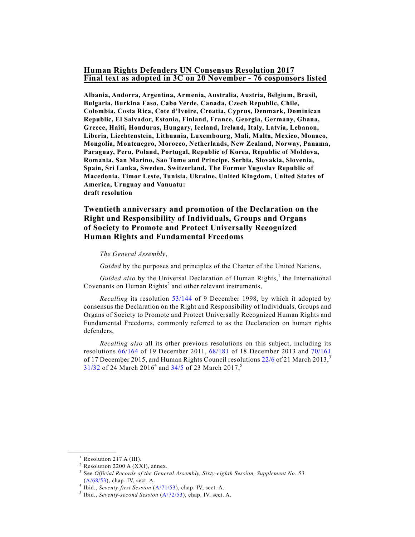## **Human Rights Defenders UN Consensus Resolution 2017 Final text as adopted in 3C on 20 November - 76 cosponsors listed**

**Albania, Andorra, Argentina, Armenia, Australia, Austria, Belgium, Brasil, Bulgaria, Burkina Faso, Cabo Verde, Canada, Czech Republic, Chile, Colombia, Costa Rica, Cote d'Ivoire, Croatia, Cyprus, Denmark, Dominican Republic, El Salvador, Estonia, Finland, France, Georgia, Germany, Ghana, Greece, Haiti, Honduras, Hungary, Iceland, Ireland, Italy, Latvia, Lebanon, Liberia, Liechtenstein, Lithuania, Luxembourg, Mali, Malta, Mexico, Monaco, Mongolia, Montenegro, Morocco, Netherlands, New Zealand, Norway, Panama, Paraguay, Peru, Poland, Portugal, Republic of Korea, Republic of Moldova, Romania, San Marino, Sao Tome and Principe, Serbia, Slovakia, Slovenia, Spain, Sri Lanka, Sweden, Switzerland, The Former Yugoslav Republic of Macedonia, Timor Leste, Tunisia, Ukraine, United Kingdom, United States of America, Uruguay and Vanuatu: draft resolution**

## **Twentieth anniversary and promotion of the Declaration on the Right and Responsibility of Individuals, Groups and Organs of Society to Promote and Protect Universally Recognized Human Rights and Fundamental Freedoms**

## *The General Assembly*,

*Guided* by the purposes and principles of the Charter of the United Nations,

*Guided also* by the Universal Declaration of Human Rights,<sup>1</sup> the International Covenants on Human Rights<sup>2</sup> and other relevant instruments,

*Recalling* its resolution 53/144 of 9 December 1998, by which it adopted by consensus the Declaration on the Right and Responsibility of Individuals, Groups and Organs of Society to Promote and Protect Universally Recognized Human Rights and Fundamental Freedoms, commonly referred to as the Declaration on human rights defenders,

*Recalling also* all its other previous resolutions on this subject, including its resolutions 66/164 of 19 December 2011, 68/181 of 18 December 2013 and 70/161 of 17 December 2015, and Human Rights Council resolutions  $22/6$  of 21 March 2013,  $3$ 31/32 of 24 March 2016<sup>4</sup> and 34/5 of 23 March 2017,<sup>5</sup>

 $<sup>1</sup>$  Resolution 217 A (III).</sup>

 $2$  Resolution 2200 A (XXI), annex.

<sup>3</sup> See *Official Records of the General Assembly, Sixty-eighth Session, Supplement No. 53* (A/68/53), chap. IV, sect. A.

<sup>4</sup> Ibid., *Seventy-first Session* (A/71/53), chap. IV, sect. A.

<sup>5</sup> Ibid., *Seventy-second Session* (A/72/53), chap. IV, sect. A.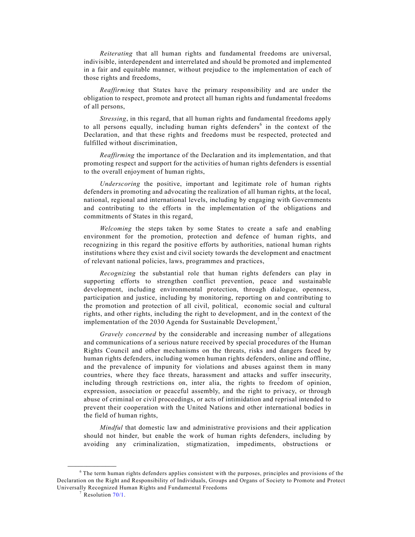*Reiterating* that all human rights and fundamental freedoms are universal, indivisible, interdependent and interrelated and should be promoted and implemented in a fair and equitable manner, without prejudice to the implementation of each of those rights and freedoms,

*Reaffirming* that States have the primary responsibility and are under the obligation to respect, promote and protect all human rights and fundamental freedoms of all persons,

*Stressing*, in this regard, that all human rights and fundamental freedoms apply to all persons equally, including human rights defenders<sup>6</sup> in the context of the Declaration, and that these rights and freedoms must be respected, protected and fulfilled without discrimination,

*Reaffirming* the importance of the Declaration and its implementation, and that promoting respect and support for the activities of human rights defenders is essential to the overall enjoyment of human rights,

*Underscoring* the positive, important and legitimate role of human rights defenders in promoting and advocating the realization of all human rights, at the local, national, regional and international levels, including by engaging with Governments and contributing to the efforts in the implementation of the obligations and commitments of States in this regard,

*Welcoming* the steps taken by some States to create a safe and enabling environment for the promotion, protection and defence of human rights, and recognizing in this regard the positive efforts by authorities, national human rights institutions where they exist and civil society towards the development and enactment of relevant national policies, laws, programmes and practices,

*Recognizing* the substantial role that human rights defenders can play in supporting efforts to strengthen conflict prevention, peace and sustainable development, including environmental protection, through dialogue, openness, participation and justice, including by monitoring, reporting on and contributing to the promotion and protection of all civil, political, economic social and cultural rights, and other rights, including the right to development, and in the context of the implementation of the 2030 Agenda for Sustainable Development,<sup>7</sup>

*Gravely concerned* by the considerable and increasing number of allegations and communications of a serious nature received by special procedures of the Human Rights Council and other mechanisms on the threats, risks and dangers faced by human rights defenders, including women human rights defenders, online and offline, and the prevalence of impunity for violations and abuses against them in many countries, where they face threats, harassment and attacks and suffer insecurity, including through restrictions on, inter alia, the rights to freedom of opinion, expression, association or peaceful assembly, and the right to privacy, or through abuse of criminal or civil proceedings, or acts of intimidation and reprisal intended to prevent their cooperation with the United Nations and other international bodies in the field of human rights,

*Mindful* that domestic law and administrative provisions and their application should not hinder, but enable the work of human rights defenders, including by avoiding any criminalization, stigmatization, impediments, obstructions or

<sup>6</sup> The term human rights defenders applies consistent with the purposes, principles and provisions of the Declaration on the Right and Responsibility of Individuals, Groups and Organs of Society to Promote and Protect Universally Recognized Human Rights and Fundamental Freedoms

Resolution 70/1.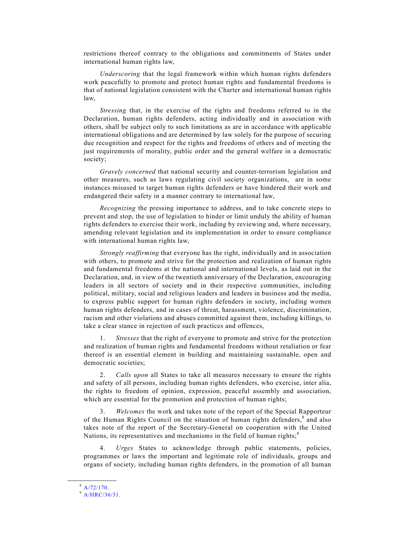restrictions thereof contrary to the obligations and commitments of States under international human rights law,

*Underscoring* that the legal framework within which human rights defenders work peacefully to promote and protect human rights and fundamental freedoms is that of national legislation consistent with the Charter and international human rights law,

*Stressing* that, in the exercise of the rights and freedoms referred to in the Declaration, human rights defenders, acting individually and in association with others, shall be subject only to such limitations as are in accordance with applicable international obligations and are determined by law solely for the purpose of securing due recognition and respect for the rights and freedoms of others and of meeting the just requirements of morality, public order and the general welfare in a democratic society;

*Gravely concerned* that national security and counter-terrorism legislation and other measures, such as laws regulating civil society organizations, are in some instances misused to target human rights defenders or have hindered their work and endangered their safety in a manner contrary to international law,

*Recognizing* the pressing importance to address, and to take concrete steps to prevent and stop, the use of legislation to hinder or limit unduly the ability of human rights defenders to exercise their work, including by reviewing and, where necessary, amending relevant legislation and its implementation in order to ensure compliance with international human rights law,

*Strongly reaffirming* that everyone has the right, individually and in association with others, to promote and strive for the protection and realization of human rights and fundamental freedoms at the national and international levels, as laid out in the Declaration, and, in view of the twentieth anniversary of the Declaration, encouraging leaders in all sectors of society and in their respective communities, including political, military, social and religious leaders and leaders in business and the media, to express public support for human rights defenders in society, including women human rights defenders, and in cases of threat, harassment, violence, discrimination, racism and other violations and abuses committed against them, including killings, to take a clear stance in rejection of such practices and offences,

1. *Stresses* that the right of everyone to promote and strive for the protection and realization of human rights and fundamental freedoms without retaliation or fear thereof is an essential element in building and maintaining sustainable, open and democratic societies;

2. *Calls upon* all States to take all measures necessary to ensure the rights and safety of all persons, including human rights defenders, who exercise, inter alia, the rights to freedom of opinion, expression, peaceful assembly and association, which are essential for the promotion and protection of human rights;

3. *Welcomes* the work and takes note of the report of the Special Rapporteur of the Human Rights Council on the situation of human rights defenders,<sup>8</sup> and also takes note of the report of the Secretary-General on cooperation with the United Nations, its representatives and mechanisms in the field of human rights;<sup>9</sup>

4. *Urges* States to acknowledge through public statements, policies, programmes or laws the important and legitimate role of individuals, groups and organs of society, including human rights defenders, in the promotion of all human

**\_\_\_\_\_\_\_\_\_\_\_\_\_\_\_\_\_\_**  $^8$  A/72/170.

<sup>9</sup> A/HRC/36/31.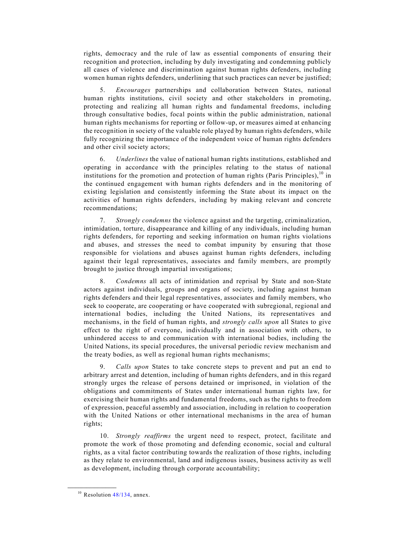rights, democracy and the rule of law as essential components of ensuring their recognition and protection, including by duly investigating and condemning publicly all cases of violence and discrimination against human rights defenders, including women human rights defenders, underlining that such practices can never be justified;

5. *Encourages* partnerships and collaboration between States, national human rights institutions, civil society and other stakeholders in promoting, protecting and realizing all human rights and fundamental freedoms, including through consultative bodies, focal points within the public administration, national human rights mechanisms for reporting or follow-up, or measures aimed at enhancing the recognition in society of the valuable role played by human rights defenders, while fully recognizing the importance of the independent voice of human rights defenders and other civil society actors;

6. *Underlines* the value of national human rights institutions, established and operating in accordance with the principles relating to the status of national institutions for the promotion and protection of human rights (Paris Principles),  $10$  in the continued engagement with human rights defenders and in the monitoring of existing legislation and consistently informing the State about its impact on the activities of human rights defenders, including by making relevant and concrete recommendations;

7. *Strongly condemns* the violence against and the targeting, criminalization, intimidation, torture, disappearance and killing of any individuals, including human rights defenders, for reporting and seeking information on human rights violations and abuses, and stresses the need to combat impunity by ensuring that those responsible for violations and abuses against human rights defenders, including against their legal representatives, associates and family members, are promptly brought to justice through impartial investigations;

8. *Condemns* all acts of intimidation and reprisal by State and non-State actors against individuals, groups and organs of society, including against human rights defenders and their legal representatives, associates and family members, who seek to cooperate, are cooperating or have cooperated with subregional, regional and international bodies, including the United Nations, its representatives and mechanisms, in the field of human rights, and *strongly calls upon* all States to give effect to the right of everyone, individually and in association with others, to unhindered access to and communication with international bodies, including the United Nations, its special procedures, the universal periodic review mechanism and the treaty bodies, as well as regional human rights mechanisms;

9. *Calls upon* States to take concrete steps to prevent and put an end to arbitrary arrest and detention, including of human rights defenders, and in this regard strongly urges the release of persons detained or imprisoned, in violation of the obligations and commitments of States under international human rights law, for exercising their human rights and fundamental freedoms, such as the rights to freedom of expression, peaceful assembly and association, including in relation to cooperation with the United Nations or other international mechanisms in the area of human rights;

10. *Strongly reaffirms* the urgent need to respect, protect, facilitate and promote the work of those promoting and defending economic, social and cultural rights, as a vital factor contributing towards the realization of those rights, including as they relate to environmental, land and indigenous issues, business activity as well as development, including through corporate accountability;

 $10$  Resolution 48/134, annex.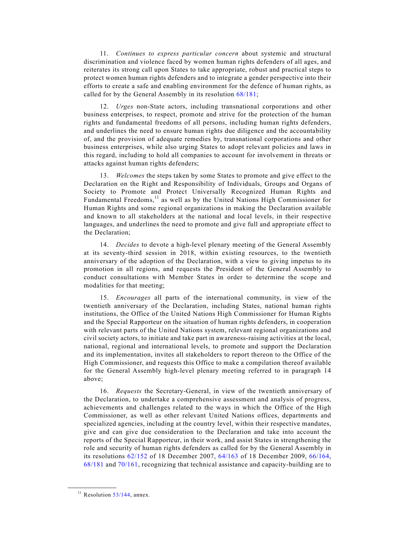11. *Continues to express particular concern* about systemic and structural discrimination and violence faced by women human rights defenders of all ages, and reiterates its strong call upon States to take appropriate, robust and practical steps to protect women human rights defenders and to integrate a gender perspective into their efforts to create a safe and enabling environment for the defence of human rights, as called for by the General Assembly in its resolution 68/181;

12. *Urges* non-State actors, including transnational corporations and other business enterprises, to respect, promote and strive for the protection of the human rights and fundamental freedoms of all persons, including human rights defenders, and underlines the need to ensure human rights due diligence and the accountability of, and the provision of adequate remedies by, transnational corporations and other business enterprises, while also urging States to adopt relevant policies and laws in this regard, including to hold all companies to account for involvement in threats or attacks against human rights defenders;

13. *Welcomes* the steps taken by some States to promote and give effect to the Declaration on the Right and Responsibility of Individuals, Groups and Organs of Society to Promote and Protect Universally Recognized Human Rights and Fundamental Freedoms,<sup>11</sup> as well as by the United Nations High Commissioner for Human Rights and some regional organizations in making the Declaration available and known to all stakeholders at the national and local levels, in their respective languages, and underlines the need to promote and give full and appropriate effect to the Declaration;

14. *Decides* to devote a high-level plenary meeting of the General Assembly at its seventy-third session in 2018, within existing resources, to the twentieth anniversary of the adoption of the Declaration, with a view to giving impetus to its promotion in all regions, and requests the President of the General Assembly to conduct consultations with Member States in order to determine the scope and modalities for that meeting;

15. *Encourages* all parts of the international community, in view of the twentieth anniversary of the Declaration, including States, national human rights institutions, the Office of the United Nations High Commissioner for Human Rights and the Special Rapporteur on the situation of human rights defenders, in cooperation with relevant parts of the United Nations system, relevant regional organizations and civil society actors, to initiate and take part in awareness-raising activities at the local, national, regional and international levels, to promote and support the Declaration and its implementation, invites all stakeholders to report thereon to the Office of the High Commissioner, and requests this Office to make a compilation thereof available for the General Assembly high-level plenary meeting referred to in paragraph 14 above;

16. *Requests* the Secretary-General, in view of the twentieth anniversary of the Declaration, to undertake a comprehensive assessment and analysis of progress, achievements and challenges related to the ways in which the Office of the High Commissioner, as well as other relevant United Nations offices, departments and specialized agencies, including at the country level, within their respective mandates, give and can give due consideration to the Declaration and take into account the reports of the Special Rapporteur, in their work, and assist States in strengthening the role and security of human rights defenders as called for by the General Assembly in its resolutions 62/152 of 18 December 2007, 64/163 of 18 December 2009, 66/164, 68/181 and 70/161, recognizing that technical assistance and capacity-building are to

 $11$  Resolution 53/144, annex.